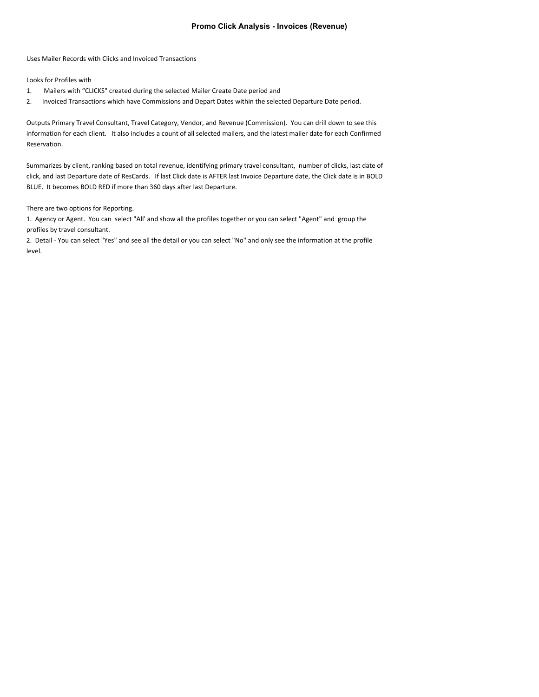## **Promo Click Analysis - Invoices (Revenue)**

Uses Mailer Records with Clicks and Invoiced Transactions

Looks for Profiles with

- 1. Mailers with "CLICKS" created during the selected Mailer Create Date period and
- 2. Invoiced Transactions which have Commissions and Depart Dates within the selected Departure Date period.

Outputs Primary Travel Consultant, Travel Category, Vendor, and Revenue (Commission). You can drill down to see this information for each client. It also includes a count of all selected mailers, and the latest mailer date for each Confirmed Reservation.

Summarizes by client, ranking based on total revenue, identifying primary travel consultant, number of clicks, last date of click, and last Departure date of ResCards. If last Click date is AFTER last Invoice Departure date, the Click date is in BOLD BLUE. It becomes BOLD RED if more than 360 days after last Departure.

There are two options for Reporting.

1. Agency or Agent. You can select "All' and show all the profiles together or you can select "Agent" and group the profiles by travel consultant.

2. Detail - You can select "Yes" and see all the detail or you can select "No" and only see the information at the profile level.